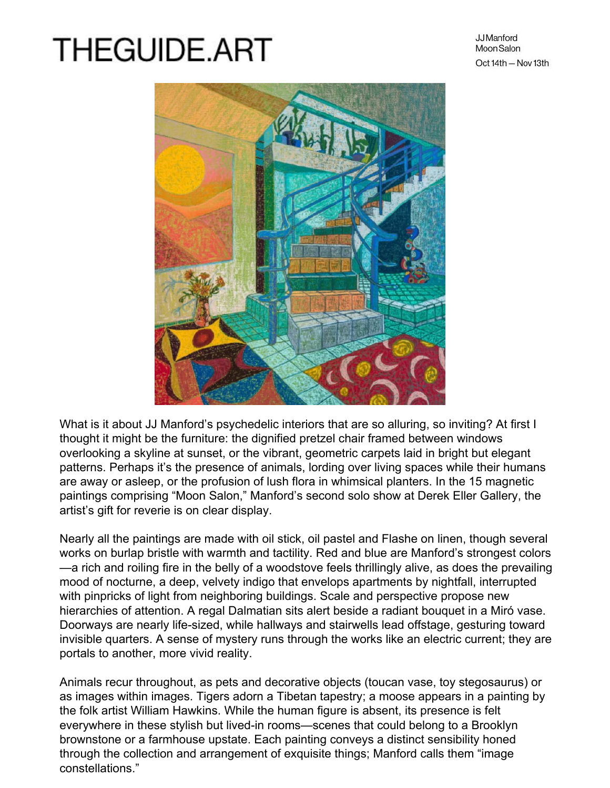## **THEGUIDE.ART**

JJ Manford Moon Salon Oct 14th - Nov 13th



What is it about JJ Manford's psychedelic interiors that are so alluring, so inviting? At first I thought it might be the furniture: the dignified pretzel chair framed between windows overlooking a skyline at sunset, or the vibrant, geometric carpets laid in bright but elegant patterns. Perhaps it's the presence of animals, lording over living spaces while their humans are away or asleep, or the profusion of lush flora in whimsical planters. In the 15 magnetic paintings comprising "Moon Salon," Manford's second solo show at Derek Eller Gallery, the artist's gift for reverie is on clear display.

Nearly all the paintings are made with oil stick, oil pastel and Flashe on linen, though several works on burlap bristle with warmth and tactility. Red and blue are Manford's strongest colors —a rich and roiling fire in the belly of a woodstove feels thrillingly alive, as does the prevailing mood of nocturne, a deep, velvety indigo that envelops apartments by nightfall, interrupted with pinpricks of light from neighboring buildings. Scale and perspective propose new hierarchies of attention. A regal Dalmatian sits alert beside a radiant bouquet in a Miró vase. Doorways are nearly life-sized, while hallways and stairwells lead offstage, gesturing toward invisible quarters. A sense of mystery runs through the works like an electric current; they are portals to another, more vivid reality.

Animals recur throughout, as pets and decorative objects (toucan vase, toy stegosaurus) or as images within images. Tigers adorn a Tibetan tapestry; a moose appears in a painting by the folk artist William Hawkins. While the human figure is absent, its presence is felt everywhere in these stylish but lived-in rooms—scenes that could belong to a Brooklyn brownstone or a farmhouse upstate. Each painting conveys a distinct sensibility honed through the collection and arrangement of exquisite things; Manford calls them "image constellations."